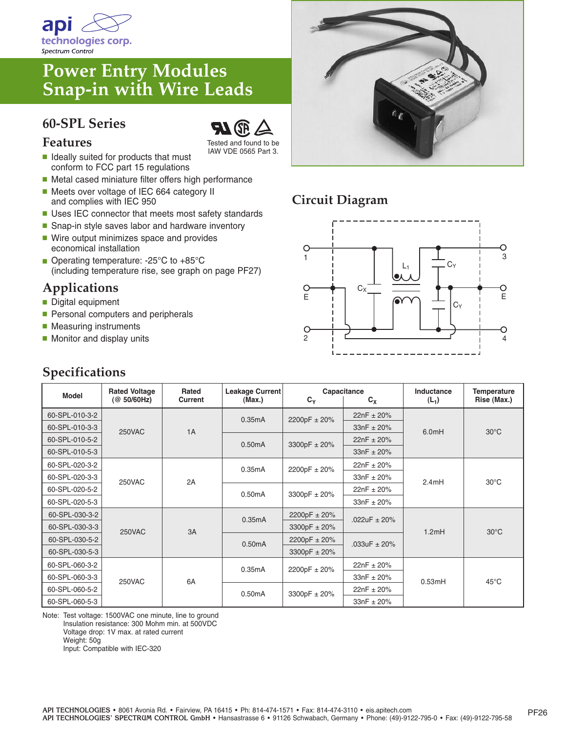

# **Power Entry Modules Snap-in with Wire Leads**

#### **60-SPL Series**



Tested and found to be IAW VDE 0565 Part 3.

- Ideally suited for products that must conform to FCC part 15 regulations
- Metal cased miniature filter offers high performance
- Meets over voltage of IEC 664 category II and complies with IEC 950
- Uses IEC connector that meets most safety standards
- Snap-in style saves labor and hardware inventory ■ Wire output minimizes space and provides
- economical installation ■ Operating temperature: -25°C to +85°C
- (including temperature rise, see graph on page PF27)

### **Applications**

- Digital equipment
- Personal computers and peripherals
- Measuring instruments
- Monitor and display units

| <b>Specifications</b> |
|-----------------------|
|-----------------------|



## **Circuit Diagram**



| <b>Model</b>   | <b>Rated Voltage</b><br>(@ 50/60 Hz) | Rated<br>Current | Leakage Current<br>(Max.) | Capacitance<br>$C_{Y}$<br>$C_X$ |                  | Inductance<br>$(L_1)$ | <b>Temperature</b><br>Rise (Max.) |
|----------------|--------------------------------------|------------------|---------------------------|---------------------------------|------------------|-----------------------|-----------------------------------|
| 60-SPL-010-3-2 | <b>250VAC</b>                        | 1A               | 0.35mA                    | 2200pF ± 20%                    | $22nF \pm 20%$   | 6.0mH                 | $30^{\circ}$ C                    |
| 60-SPL-010-3-3 |                                      |                  |                           |                                 | $33nF + 20%$     |                       |                                   |
| 60-SPL-010-5-2 |                                      |                  | 0.50mA                    | 3300pF ± 20%                    | $22nF \pm 20%$   |                       |                                   |
| 60-SPL-010-5-3 |                                      |                  |                           |                                 | $33nF \pm 20%$   |                       |                                   |
| 60-SPL-020-3-2 | <b>250VAC</b>                        | 2A               | 0.35mA                    | 2200pF ± 20%                    | $22nF \pm 20%$   | 2.4mH                 | $30^{\circ}$ C                    |
| 60-SPL-020-3-3 |                                      |                  |                           |                                 | $33nF \pm 20%$   |                       |                                   |
| 60-SPL-020-5-2 |                                      |                  | 0.50mA                    | 3300pF ± 20%                    | $22nF \pm 20%$   |                       |                                   |
| 60-SPL-020-5-3 |                                      |                  |                           |                                 | $33nF + 20%$     |                       |                                   |
| 60-SPL-030-3-2 | <b>250VAC</b>                        | 3A               | 0.35mA                    | 2200pF $\pm$ 20%                | .022uF $\pm$ 20% | 1.2mH                 | $30^{\circ}$ C                    |
| 60-SPL-030-3-3 |                                      |                  |                           | 3300pF $\pm$ 20%                |                  |                       |                                   |
| 60-SPL-030-5-2 |                                      |                  | 0.50mA                    | 2200pF ± 20%                    | $.033uF \pm 20%$ |                       |                                   |
| 60-SPL-030-5-3 |                                      |                  |                           | 3300pF ± 20%                    |                  |                       |                                   |
| 60-SPL-060-3-2 | <b>250VAC</b>                        | <b>6A</b>        | 0.35mA                    | 2200pF ± 20%                    | $22nF \pm 20%$   | 0.53mH                | $45^{\circ}$ C                    |
| 60-SPL-060-3-3 |                                      |                  |                           |                                 | $33nF + 20%$     |                       |                                   |
| 60-SPL-060-5-2 |                                      |                  | 0.50mA                    | 3300pF ± 20%                    | $22nF \pm 20%$   |                       |                                   |
| 60-SPL-060-5-3 |                                      |                  |                           |                                 | $33nF \pm 20%$   |                       |                                   |

Note: Test voltage: 1500VAC one minute, line to ground Insulation resistance: 300 Mohm min. at 500VDC Voltage drop: 1V max. at rated current Weight: 50g Input: Compatible with IEC-320